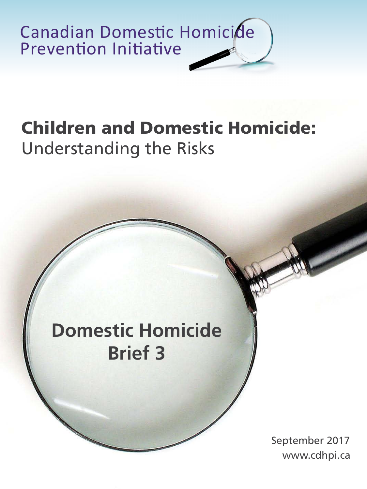

# **Children and Domestic Homicide:**  Understanding the Risks

# **Domestic Homicide Brief 3**

www.cdhpi.ca September 2017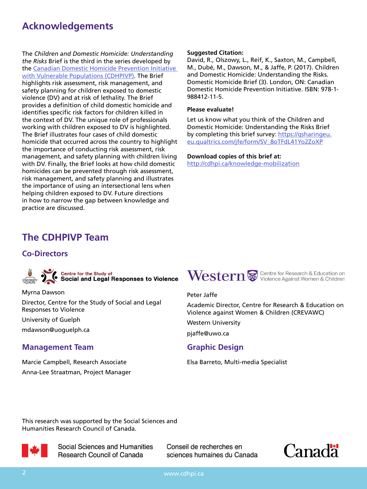# **Acknowledgements**

The *Children and Domestic Homicide: Understanding the Risks* Brief is the third in the series developed by the [Canadian Domestic Homicide Prevention Initiative](http://cdhpi.ca/SSHRC/about-sshrc)  [with Vulnerable Populations \(CDHPIVP\)](http://cdhpi.ca/SSHRC/about-sshrc). The Brief highlights risk assessment, risk management, and safety planning for children exposed to domestic violence (DV) and at risk of lethality. The Brief provides a definition of child domestic homicide and identifies specific risk factors for children killed in the context of DV. The unique role of professionals working with children exposed to DV is highlighted. The Brief illustrates four cases of child domestic homicide that occurred across the country to highlight the importance of conducting risk assessment, risk management, and safety planning with children living with DV. Finally, the Brief looks at how child domestic homicides can be prevented through risk assessment, risk management, and safety planning and illustrates the importance of using an intersectional lens when helping children exposed to DV. Future directions in how to narrow the gap between knowledge and practice are discussed.

#### **Suggested Citation:**

David, R., Olszowy, L., Reif, K., Saxton, M., Campbell, M., Dubé, M., Dawson, M., & Jaffe, P. (2017). Children and Domestic Homicide: Understanding the Risks. Domestic Homicide Brief (3). London, ON: Canadian Domestic Homicide Prevention Initiative. ISBN: 978-1- 988412-11-5.

#### **Please evaluate!**

Let us know what you think of the Children and Domestic Homicide: Understanding the Risks Brief by completing this brief survey: [https://qsharingeu.](https://qsharingeu.eu.qualtrics.com/jfe/form/SV_8oTFdL41Yo2ZoXP) [eu.qualtrics.com/jfe/form/SV\\_8oTFdL41Yo2ZoXP](https://qsharingeu.eu.qualtrics.com/jfe/form/SV_8oTFdL41Yo2ZoXP)

**Download copies of this brief at:** <http://cdhpi.ca/knowledge-mobilization>

# **The CDHPIVP Team**

### **Co-Directors**

Centre for the Study of<br>Social and Legal Responses to Violence

Myrna Dawson

Director, Centre for the Study of Social and Legal Responses to Violence

University of Guelph

mdawson@uoguelph.ca

### **Management Team Graphic Design**

Marcie Campbell, Research Associate Anna-Lee Straatman, Project Manager



#### Peter Jaffe

Academic Director, Centre for Research & Education on Violence against Women & Children (CREVAWC)

Western University

pjaffe@uwo.ca

Elsa Barreto, Multi-media Specialist

This research was supported by the Social Sciences and Humanities Research Council of Canada.



Social Sciences and Humanities Research Council of Canada

Conseil de recherches en sciences humaines du Canada



2 www.cdhpi.ca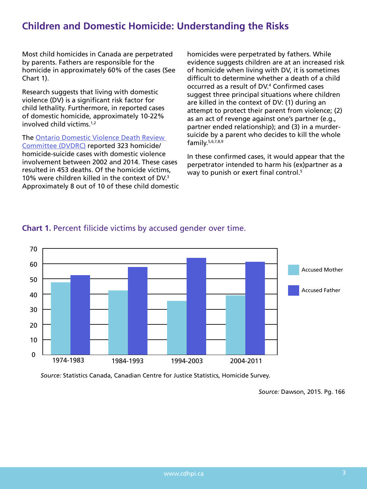# **Children and Domestic Homicide: Understanding the Risks**

Most child homicides in Canada are perpetrated by parents. Fathers are responsible for the homicide in approximately 60% of the cases (See Chart 1).

Research suggests that living with domestic violence (DV) is a significant risk factor for child lethality. Furthermore, in reported cases of domestic homicide, approximately 10-22% involved child victims.1,2

The [Ontario Domestic Violence Death Review](http://cdhpi.ca/sites/cdhpi.ca/files/DVDRC 2015 Annual Report English Accessible.pdf)  [Committee \(DVDRC\)](http://cdhpi.ca/sites/cdhpi.ca/files/DVDRC 2015 Annual Report English Accessible.pdf) reported 323 homicide/ homicide-suicide cases with domestic violence involvement between 2002 and 2014. These cases resulted in 453 deaths. Of the homicide victims, 10% were children killed in the context of DV.<sup>3</sup> Approximately 8 out of 10 of these child domestic homicides were perpetrated by fathers. While evidence suggests children are at an increased risk of homicide when living with DV, it is sometimes difficult to determine whether a death of a child occurred as a result of DV.4 Confirmed cases suggest three principal situations where children are killed in the context of DV: (1) during an attempt to protect their parent from violence; (2) as an act of revenge against one's partner (e.g., partner ended relationship); and (3) in a murdersuicide by a parent who decides to kill the whole family.5,6,7,8,9

In these confirmed cases, it would appear that the perpetrator intended to harm his (ex)partner as a way to punish or exert final control.<sup>5</sup>



# **Chart 1.** Percent filicide victims by accused gender over time.

*Source:* Statistics Canada, Canadian Centre for Justice Statistics, Homicide Survey.

*Source:* Dawson, 2015. Pg. 166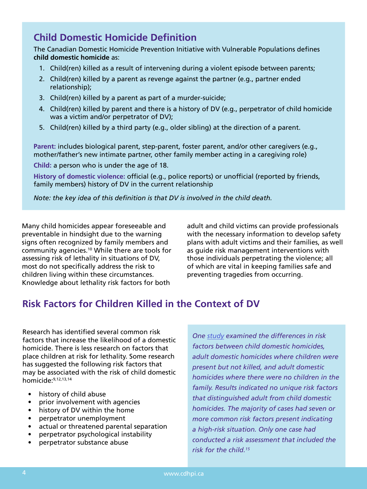# **Child Domestic Homicide Definition**

The Canadian Domestic Homicide Prevention Initiative with Vulnerable Populations defines **child domestic homicide** as:

- 1. Child(ren) killed as a result of intervening during a violent episode between parents;
- 2. Child(ren) killed by a parent as revenge against the partner (e.g., partner ended relationship);
- 3. Child(ren) killed by a parent as part of a murder-suicide;
- 4. Child(ren) killed by parent and there is a history of DV (e.g., perpetrator of child homicide was a victim and/or perpetrator of DV);
- 5. Child(ren) killed by a third party (e.g., older sibling) at the direction of a parent.

**Parent:** includes biological parent, step-parent, foster parent, and/or other caregivers (e.g., mother/father's new intimate partner, other family member acting in a caregiving role)

**Child:** a person who is under the age of 18.

**History of domestic violence:** official (e.g., police reports) or unofficial (reported by friends, family members) history of DV in the current relationship

*Note: the key idea of this definition is that DV is involved in the child death.* 

Many child homicides appear foreseeable and preventable in hindsight due to the warning signs often recognized by family members and community agencies.10 While there are tools for assessing risk of lethality in situations of DV, most do not specifically address the risk to children living within these circumstances. Knowledge about lethality risk factors for both

adult and child victims can provide professionals with the necessary information to develop safety plans with adult victims and their families, as well as guide risk management interventions with those individuals perpetrating the violence; all of which are vital in keeping families safe and preventing tragedies from occurring.

# **Risk Factors for Children Killed in the Context of DV**

Research has identified several common risk factors that increase the likelihood of a domestic homicide. There is less research on factors that place children at risk for lethality. Some research has suggested the following risk factors that may be associated with the risk of child domestic homicide:9,12,13,14

- history of child abuse
- prior involvement with agencies
- history of DV within the home
- perpetrator unemployment
- actual or threatened parental separation
- perpetrator psychological instability
- perpetrator substance abuse

*One [study](http://www.learningtoendabuse.ca/sites/default/files/Assessing_Childrens_Risk_of_Homicide.pdf) examined the differences in risk factors between child domestic homicides, adult domestic homicides where children were present but not killed, and adult domestic homicides where there were no children in the family. Results indicated no unique risk factors that distinguished adult from child domestic homicides. The majority of cases had seven or more common risk factors present indicating a high-risk situation. Only one case had conducted a risk assessment that included the risk for the child.15*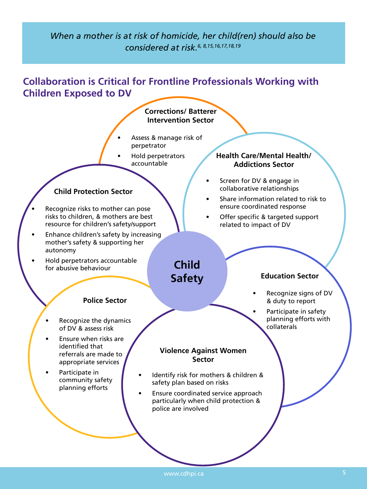# *When a mother is at risk of homicide, her child(ren) should also be considered at risk.6, 8,15,16,17,18,19*

# **Collaboration is Critical for Frontline Professionals Working with Children Exposed to DV**

#### **Corrections/ Batterer Intervention Sector**

- Assess & manage risk of perpetrator
- Hold perpetrators accountable

### **Child Protection Sector**

- Recognize risks to mother can pose risks to children, & mothers are best resource for children's safety/support
- Enhance children's safety by increasing mother's safety & supporting her autonomy
- Hold perpetrators accountable for abusive behaviour

## **Health Care/Mental Health/ Addictions Sector**

- Screen for DV & engage in collaborative relationships
- Share information related to risk to ensure coordinated response
- Offer specific & targeted support related to impact of DV

# **Safety**

**Child** 

### **Education Sector**

- Recognize signs of DV & duty to report
- Participate in safety planning efforts with collaterals

**Police Sector**

- Recognize the dynamics of DV & assess risk
- Ensure when risks are identified that referrals are made to appropriate services
- Participate in community safety planning efforts

# **Violence Against Women Sector**

- Identify risk for mothers & children & safety plan based on risks
- Ensure coordinated service approach particularly when child protection & police are involved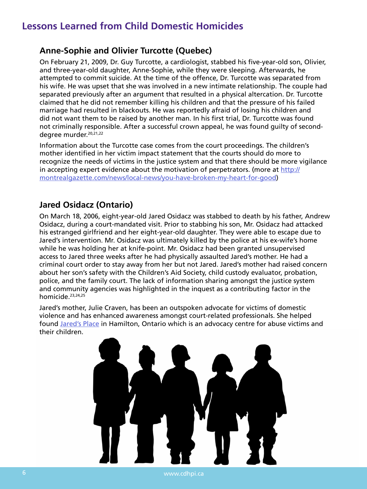# **Lessons Learned from Child Domestic Homicides**

# **Anne-Sophie and Olivier Turcotte (Quebec)**

On February 21, 2009, Dr. Guy Turcotte, a cardiologist, stabbed his five-year-old son, Olivier, and three-year-old daughter, Anne-Sophie, while they were sleeping. Afterwards, he attempted to commit suicide. At the time of the offence, Dr. Turcotte was separated from his wife. He was upset that she was involved in a new intimate relationship. The couple had separated previously after an argument that resulted in a physical altercation. Dr. Turcotte claimed that he did not remember killing his children and that the pressure of his failed marriage had resulted in blackouts. He was reportedly afraid of losing his children and did not want them to be raised by another man. In his first trial, Dr. Turcotte was found not criminally responsible. After a successful crown appeal, he was found guilty of seconddegree murder.<sup>20,21,22</sup>

Information about the Turcotte case comes from the court proceedings. The children's mother identified in her victim impact statement that the courts should do more to recognize the needs of victims in the justice system and that there should be more vigilance in accepting expert evidence about the motivation of perpetrators. (more at  $\frac{\text{http://}}{\text{http://}}$  $\frac{\text{http://}}{\text{http://}}$  $\frac{\text{http://}}{\text{http://}}$ [montrealgazette.com/news/local-news/you-have-broken-my-heart-for-good\)](http://montrealgazette.com/news/local-news/you-have-broken-my-heart-for-good)

# **Jared Osidacz (Ontario)**

On March 18, 2006, eight-year-old Jared Osidacz was stabbed to death by his father, Andrew Osidacz, during a court-mandated visit. Prior to stabbing his son, Mr. Osidacz had attacked his estranged girlfriend and her eight-year-old daughter. They were able to escape due to Jared's intervention. Mr. Osidacz was ultimately killed by the police at his ex-wife's home while he was holding her at knife-point. Mr. Osidacz had been granted unsupervised access to Jared three weeks after he had physically assaulted Jared's mother. He had a criminal court order to stay away from her but not Jared. Jared's mother had raised concern about her son's safety with the Children's Aid Society, child custody evaluator, probation, police, and the family court. The lack of information sharing amongst the justice system and community agencies was highlighted in the inquest as a contributing factor in the homicide.23,24,25

Jared's mother, Julie Craven, has been an outspoken advocate for victims of domestic violence and has enhanced awareness amongst court-related professionals. She helped found [Jared's Place](https://intervalhousehamilton.org/legal-support) in Hamilton, Ontario which is an advocacy centre for abuse victims and their children.

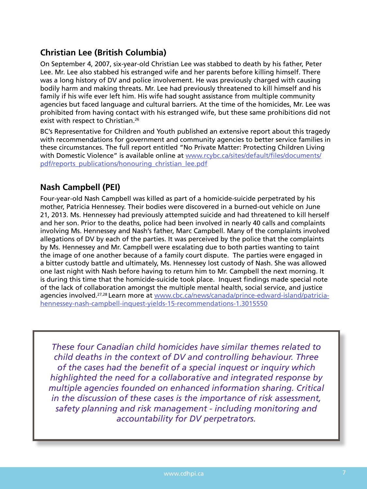# **Christian Lee (British Columbia)**

On September 4, 2007, six-year-old Christian Lee was stabbed to death by his father, Peter Lee. Mr. Lee also stabbed his estranged wife and her parents before killing himself. There was a long history of DV and police involvement. He was previously charged with causing bodily harm and making threats. Mr. Lee had previously threatened to kill himself and his family if his wife ever left him. His wife had sought assistance from multiple community agencies but faced language and cultural barriers. At the time of the homicides, Mr. Lee was prohibited from having contact with his estranged wife, but these same prohibitions did not exist with respect to Christian.<sup>26</sup>

BC's Representative for Children and Youth published an extensive report about this tragedy with recommendations for government and community agencies to better service families in these circumstances. The full report entitled "No Private Matter: Protecting Children Living with Domestic Violence" is available online at [www.rcybc.ca/sites/default/files/documents/](https://www.rcybc.ca/sites/default/files/documents/pdf/reports_publications/honouring_christian_lee.pdf) [pdf/reports\\_publications/honouring\\_christian\\_lee.pdf](https://www.rcybc.ca/sites/default/files/documents/pdf/reports_publications/honouring_christian_lee.pdf)

# **Nash Campbell (PEI)**

Four-year-old Nash Campbell was killed as part of a homicide-suicide perpetrated by his mother, Patricia Hennessey. Their bodies were discovered in a burned-out vehicle on June 21, 2013. Ms. Hennessey had previously attempted suicide and had threatened to kill herself and her son. Prior to the deaths, police had been involved in nearly 40 calls and complaints involving Ms. Hennessey and Nash's father, Marc Campbell. Many of the complaints involved allegations of DV by each of the parties. It was perceived by the police that the complaints by Ms. Hennessey and Mr. Campbell were escalating due to both parties wanting to taint the image of one another because of a family court dispute. The parties were engaged in a bitter custody battle and ultimately, Ms. Hennessey lost custody of Nash. She was allowed one last night with Nash before having to return him to Mr. Campbell the next morning. It is during this time that the homicide-suicide took place. Inquest findings made special note of the lack of collaboration amongst the multiple mental health, social service, and justice agencies involved.27,28 Learn more at [www.cbc.ca/news/canada/prince-edward-island/patricia](http://www.cbc.ca/news/canada/prince-edward-island/patricia-hennessey-nash-campbell-inquest-yields-15-recommendations-1.3015550)[hennessey-nash-campbell-inquest-yields-15-recommendations-1.3015550](http://www.cbc.ca/news/canada/prince-edward-island/patricia-hennessey-nash-campbell-inquest-yields-15-recommendations-1.3015550)

*These four Canadian child homicides have similar themes related to child deaths in the context of DV and controlling behaviour. Three of the cases had the benefit of a special inquest or inquiry which highlighted the need for a collaborative and integrated response by multiple agencies founded on enhanced information sharing. Critical in the discussion of these cases is the importance of risk assessment, safety planning and risk management - including monitoring and accountability for DV perpetrators.*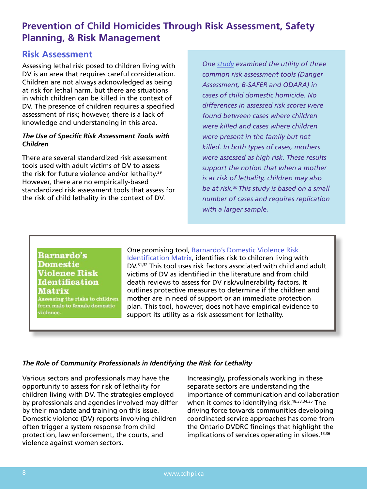# **Prevention of Child Homicides Through Risk Assessment, Safety Planning, & Risk Management**

# **Risk Assessment**

Assessing lethal risk posed to children living with DV is an area that requires careful consideration. Children are not always acknowledged as being at risk for lethal harm, but there are situations in which children can be killed in the context of DV. The presence of children requires a specified assessment of risk; however, there is a lack of knowledge and understanding in this area.

#### *The Use of Specific Risk Assessment Tools with Children*

There are several standardized risk assessment tools used with adult victims of DV to assess the risk for future violence and/or lethality.<sup>29</sup> However, there are no empirically-based standardized risk assessment tools that assess for the risk of child lethality in the context of DV.

*One [study](http://www.learningtoendabuse.ca/sites/default/files/Effectiveness_2013.pdf) examined the utility of three common risk assessment tools (Danger Assessment, B-SAFER and ODARA) in cases of child domestic homicide. No differences in assessed risk scores were found between cases where children were killed and cases where children were present in the family but not killed. In both types of cases, mothers were assessed as high risk. These results support the notion that when a mother is at risk of lethality, children may also be at risk.30 This study is based on a small number of cases and requires replication with a larger sample.*

### **Barnardo's Domestic Violence Risk Identification Matrix**

Assessing the risks to children from male to female domestic violence.

One promising tool, Barnardo's Domestic Violence Risk [Identification Matrix,](http://www.barnardos.org.uk/Barnardos_Domestic_Violence_Risk_Identification_Matrix.pdf) identifies risk to children living with DV.31,32 This tool uses risk factors associated with child and adult victims of DV as identified in the literature and from child death reviews to assess for DV risk/vulnerability factors. It outlines protective measures to determine if the children and mother are in need of support or an immediate protection plan. This tool, however, does not have empirical evidence to support its utility as a risk assessment for lethality.

### *The Role of Community Professionals in Identifying the Risk for Lethality*

Various sectors and professionals may have the opportunity to assess for risk of lethality for children living with DV. The strategies employed by professionals and agencies involved may differ by their mandate and training on this issue. Domestic violence (DV) reports involving children often trigger a system response from child protection, law enforcement, the courts, and violence against women sectors.

Increasingly, professionals working in these separate sectors are understanding the importance of communication and collaboration when it comes to identifying risk.<sup>18,33,34,35</sup> The driving force towards communities developing coordinated service approaches has come from the Ontario DVDRC findings that highlight the implications of services operating in siloes.<sup>15,36</sup>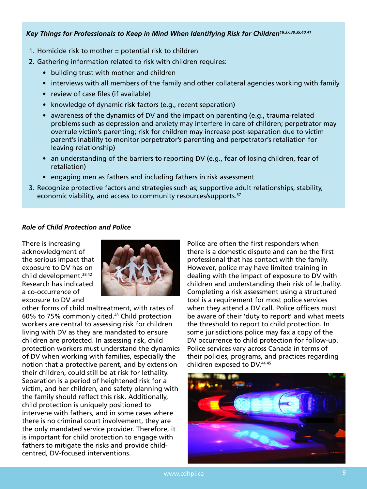#### *Key Things for Professionals to Keep in Mind When Identifying Risk for Children18,37,38,39,40,41*

- 1. Homicide risk to mother = potential risk to children
- 2. Gathering information related to risk with children requires:
	- building trust with mother and children
	- interviews with all members of the family and other collateral agencies working with family
	- review of case files (if available)
	- knowledge of dynamic risk factors (e.g., recent separation)
	- awareness of the dynamics of DV and the impact on parenting (e.g., trauma-related problems such as depression and anxiety may interfere in care of children; perpetrator may overrule victim's parenting; risk for children may increase post-separation due to victim parent's inability to monitor perpetrator's parenting and perpetrator's retaliation for leaving relationship)
	- an understanding of the barriers to reporting DV (e.g., fear of losing children, fear of retaliation)
	- engaging men as fathers and including fathers in risk assessment
- 3. Recognize protective factors and strategies such as; supportive adult relationships, stability, economic viability, and access to community resources/supports.<sup>57</sup>

#### *Role of Child Protection and Police*

There is increasing acknowledgment of the serious impact that exposure to DV has on child development.<sup>38,42</sup> Research has indicated a co-occurrence of exposure to DV and



other forms of child maltreatment, with rates of 60% to 75% commonly cited.43 Child protection workers are central to assessing risk for children living with DV as they are mandated to ensure children are protected. In assessing risk, child protection workers must understand the dynamics of DV when working with families, especially the notion that a protective parent, and by extension their children, could still be at risk for lethality. Separation is a period of heightened risk for a victim, and her children, and safety planning with the family should reflect this risk. Additionally, child protection is uniquely positioned to intervene with fathers, and in some cases where there is no criminal court involvement, they are the only mandated service provider. Therefore, it is important for child protection to engage with fathers to mitigate the risks and provide childcentred, DV-focused interventions.

Police are often the first responders when there is a domestic dispute and can be the first professional that has contact with the family. However, police may have limited training in dealing with the impact of exposure to DV with children and understanding their risk of lethality. Completing a risk assessment using a structured tool is a requirement for most police services when they attend a DV call. Police officers must be aware of their 'duty to report' and what meets the threshold to report to child protection. In some jurisdictions police may fax a copy of the DV occurrence to child protection for follow-up. Police services vary across Canada in terms of their policies, programs, and practices regarding children exposed to DV.44,45

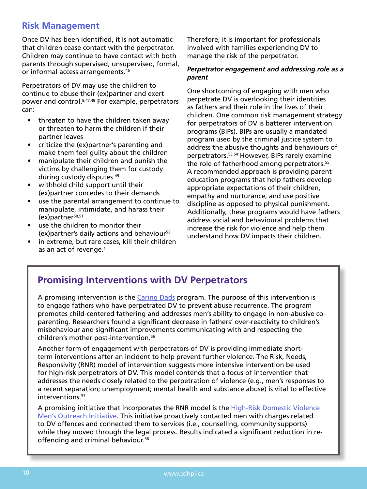# **Risk Management**

Once DV has been identified, it is not automatic that children cease contact with the perpetrator. Children may continue to have contact with both parents through supervised, unsupervised, formal, or informal access arrangements.46

Perpetrators of DV may use the children to continue to abuse their (ex)partner and exert power and control.<sup>8,47,48</sup> For example, perpetrators can:

- threaten to have the children taken away or threaten to harm the children if their partner leaves
- criticize the (ex)partner's parenting and make them feel guilty about the children
- manipulate their children and punish the victims by challenging them for custody during custody disputes <sup>49</sup>
- withhold child support until their (ex)partner concedes to their demands
- use the parental arrangement to continue to manipulate, intimidate, and harass their  $(ex)$ partner $50,51$
- use the children to monitor their (ex) partner's daily actions and behaviour<sup>52</sup>
- in extreme, but rare cases, kill their children as an act of revenge.<sup>1</sup>

Therefore, it is important for professionals involved with families experiencing DV to manage the risk of the perpetrator.

#### *Perpetrator engagement and addressing role as a parent*

One shortcoming of engaging with men who perpetrate DV is overlooking their identities as fathers and their role in the lives of their children. One common risk management strategy for perpetrators of DV is batterer intervention programs (BIPs). BIPs are usually a mandated program used by the criminal justice system to address the abusive thoughts and behaviours of perpetrators.53,54 However, BIPs rarely examine the role of fatherhood among perpetrators.<sup>55</sup> A recommended approach is providing parent education programs that help fathers develop appropriate expectations of their children, empathy and nurturance, and use positive discipline as opposed to physical punishment. Additionally, these programs would have fathers address social and behavioural problems that increase the risk for violence and help them understand how DV impacts their children.

# **Promising Interventions with DV Perpetrators**

A promising intervention is the [Caring Dads](http://www.caringdads.org/) program. The purpose of this intervention is to engage fathers who have perpetrated DV to prevent abuse recurrence. The program promotes child-centered fathering and addresses men's ability to engage in non-abusive coparenting. Researchers found a significant decrease in fathers' over-reactivity to children's misbehaviour and significant improvements communicating with and respecting the children's mother post-intervention.<sup>56</sup>

Another form of engagement with perpetrators of DV is providing immediate shortterm interventions after an incident to help prevent further violence. The Risk, Needs, Responsivity (RNR) model of intervention suggests more intensive intervention be used for high-risk perpetrators of DV. This model contends that a focus of intervention that addresses the needs closely related to the perpetration of violence (e.g., men's responses to a recent separation; unemployment; mental health and substance abuse) is vital to effective interventions.<sup>57</sup>

A promising initiative that incorporates the RNR model is the High-Risk Domestic Violence [Men's Outreach Initiative.](http://journals.sagepub.com/doi/abs/10.1177/0306624X13513709?rss=1r0306624X13513709v1p0306624X13513709v1) This initiative proactively contacted men with charges related to DV offences and connected them to services (i.e., counselling, community supports) while they moved through the legal process. Results indicated a significant reduction in reoffending and criminal behaviour.<sup>58</sup>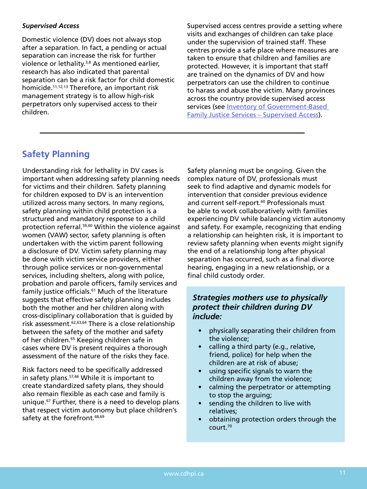#### *Supervised Access*

Domestic violence (DV) does not always stop after a separation. In fact, a pending or actual separation can increase the risk for further violence or lethality.3,8 As mentioned earlier, research has also indicated that parental separation can be a risk factor for child domestic homicide.11,12,13 Therefore, an important risk management strategy is to allow high-risk perpetrators only supervised access to their children.

Supervised access centres provide a setting where visits and exchanges of children can take place under the supervision of trained staff. These centres provide a safe place where measures are taken to ensure that children and families are protected. However, it is important that staff are trained on the dynamics of DV and how perpetrators can use the children to continue to harass and abuse the victim. Many provinces across the country provide supervised access services (see [Inventory of Government-Based](http://www.justice.gc.ca/eng/fl-df/fjs-sjf/sch-rch.asp?type=8)  [Family Justice Services – Supervised Access\)](http://www.justice.gc.ca/eng/fl-df/fjs-sjf/sch-rch.asp?type=8).

# **Safety Planning**

Understanding risk for lethality in DV cases is important when addressing safety planning needs for victims and their children. Safety planning for children exposed to DV is an intervention utilized across many sectors. In many regions, safety planning within child protection is a structured and mandatory response to a child protection referral.59,60 Within the violence against women (VAW) sector, safety planning is often undertaken with the victim parent following a disclosure of DV. Victim safety planning may be done with victim service providers, either through police services or non-governmental services, including shelters, along with police, probation and parole officers, family services and family justice officials.<sup>61</sup> Much of the literature suggests that effective safety planning includes both the mother and her children along with cross-disciplinary collaboration that is guided by risk assessment.62,63,64 There is a close relationship between the safety of the mother and safety of her children.<sup>65</sup> Keeping children safe in cases where DV is present requires a thorough assessment of the nature of the risks they face.

Risk factors need to be specifically addressed in safety plans.<sup>57,66</sup> While it is important to create standardized safety plans, they should also remain flexible as each case and family is unique.67 Further, there is a need to develop plans that respect victim autonomy but place children's safety at the forefront.<sup>68,69</sup>

Safety planning must be ongoing. Given the complex nature of DV, professionals must seek to find adaptive and dynamic models for intervention that consider previous evidence and current self-report.<sup>60</sup> Professionals must be able to work collaboratively with families experiencing DV while balancing victim autonomy and safety. For example, recognizing that ending a relationship can heighten risk, it is important to review safety planning when events might signify the end of a relationship long after physical separation has occurred, such as a final divorce hearing, engaging in a new relationship, or a final child custody order.

# *Strategies mothers use to physically protect their children during DV include:*

- physically separating their children from the violence;
- calling a third party (e.g., relative, friend, police) for help when the children are at risk of abuse;
- using specific signals to warn the children away from the violence;
- calming the perpetrator or attempting to stop the arguing;
- sending the children to live with relatives;
- obtaining protection orders through the court.70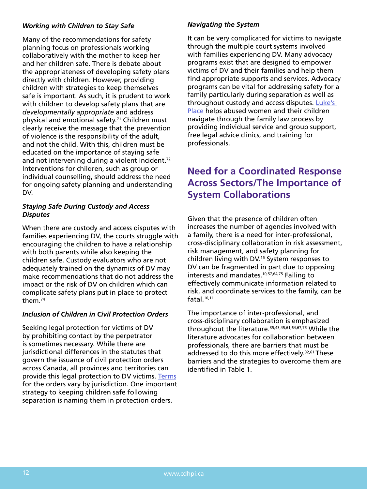#### *Working with Children to Stay Safe*

Many of the recommendations for safety planning focus on professionals working collaboratively with the mother to keep her and her children safe. There is debate about the appropriateness of developing safety plans directly with children. However, providing children with strategies to keep themselves safe is important. As such, it is prudent to work with children to develop safety plans that are *developmentally appropriate* and address physical and emotional safety.71 Children must clearly receive the message that the prevention of violence is the responsibility of the adult, and not the child. With this, children must be educated on the importance of staying safe and not intervening during a violent incident.<sup>72</sup> Interventions for children, such as group or individual counselling, should address the need for ongoing safety planning and understanding DV.

#### *Staying Safe During Custody and Access Disputes*

When there are custody and access disputes with families experiencing DV, the courts struggle with encouraging the children to have a relationship with both parents while also keeping the children safe. Custody evaluators who are not adequately trained on the dynamics of DV may make recommendations that do not address the impact or the risk of DV on children which can complicate safety plans put in place to protect them.74

### *Inclusion of Children in Civil Protection Orders*

Seeking legal protection for victims of DV by prohibiting contact by the perpetrator is sometimes necessary. While there are jurisdictional differences in the statutes that govern the issuance of civil protection orders across Canada, all provinces and territories can provide this legal protection to DV victims. [Terms](http://www.justice.gc.ca/eng/rp-pr/fl-lf/famil/enhan-renfo/p6.html) for the orders vary by jurisdiction. One important strategy to keeping children safe following separation is naming them in protection orders.

### *Navigating the System*

It can be very complicated for victims to navigate through the multiple court systems involved with families experiencing DV. Many advocacy programs exist that are designed to empower victims of DV and their families and help them find appropriate supports and services. Advocacy programs can be vital for addressing safety for a family particularly during separation as well as throughout custody and access disputes. [Luke's](http://lukesplace.ca/)  [Place](http://lukesplace.ca/) helps abused women and their children navigate through the family law process by providing individual service and group support, free legal advice clinics, and training for professionals.

# **Need for a Coordinated Response Across Sectors/The Importance of System Collaborations**

Given that the presence of children often increases the number of agencies involved with a family, there is a need for inter-professional, cross-disciplinary collaboration in risk assessment, risk management, and safety planning for children living with DV.15 System responses to DV can be fragmented in part due to opposing interests and mandates.<sup>10,57,64,75</sup> Failing to effectively communicate information related to risk, and coordinate services to the family, can be fatal $10,11$ 

The importance of inter-professional, and cross-disciplinary collaboration is emphasized throughout the literature.35,43,45,61,64,67,75 While the literature advocates for collaboration between professionals, there are barriers that must be addressed to do this more effectively.<sup>32,61</sup> These barriers and the strategies to overcome them are identified in Table 1.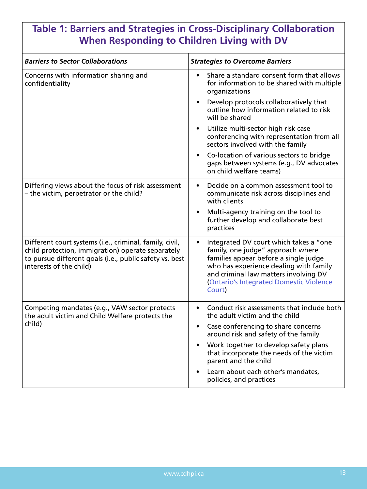# **Table 1: Barriers and Strategies in Cross-Disciplinary Collaboration When Responding to Children Living with DV**

| <b>Barriers to Sector Collaborations</b>                                                                                                                                                           | <b>Strategies to Overcome Barriers</b>                                                                                                                                                                                                                              |
|----------------------------------------------------------------------------------------------------------------------------------------------------------------------------------------------------|---------------------------------------------------------------------------------------------------------------------------------------------------------------------------------------------------------------------------------------------------------------------|
| Concerns with information sharing and<br>confidentiality                                                                                                                                           | Share a standard consent form that allows<br>for information to be shared with multiple<br>organizations                                                                                                                                                            |
|                                                                                                                                                                                                    | Develop protocols collaboratively that<br>outline how information related to risk<br>will be shared                                                                                                                                                                 |
|                                                                                                                                                                                                    | Utilize multi-sector high risk case<br>conferencing with representation from all<br>sectors involved with the family                                                                                                                                                |
|                                                                                                                                                                                                    | Co-location of various sectors to bridge<br>gaps between systems (e.g., DV advocates<br>on child welfare teams)                                                                                                                                                     |
| Differing views about the focus of risk assessment<br>- the victim, perpetrator or the child?                                                                                                      | Decide on a common assessment tool to<br>$\bullet$<br>communicate risk across disciplines and<br>with clients                                                                                                                                                       |
|                                                                                                                                                                                                    | Multi-agency training on the tool to<br>further develop and collaborate best<br>practices                                                                                                                                                                           |
| Different court systems (i.e., criminal, family, civil,<br>child protection, immigration) operate separately<br>to pursue different goals (i.e., public safety vs. best<br>interests of the child) | Integrated DV court which takes a "one"<br>family, one judge" approach where<br>families appear before a single judge<br>who has experience dealing with family<br>and criminal law matters involving DV<br><b>Ontario's Integrated Domestic Violence</b><br>Court) |
| Competing mandates (e.g., VAW sector protects<br>the adult victim and Child Welfare protects the<br>child)                                                                                         | Conduct risk assessments that include both<br>the adult victim and the child                                                                                                                                                                                        |
|                                                                                                                                                                                                    | Case conferencing to share concerns<br>around risk and safety of the family                                                                                                                                                                                         |
|                                                                                                                                                                                                    | Work together to develop safety plans<br>that incorporate the needs of the victim<br>parent and the child                                                                                                                                                           |
|                                                                                                                                                                                                    | Learn about each other's mandates,<br>policies, and practices                                                                                                                                                                                                       |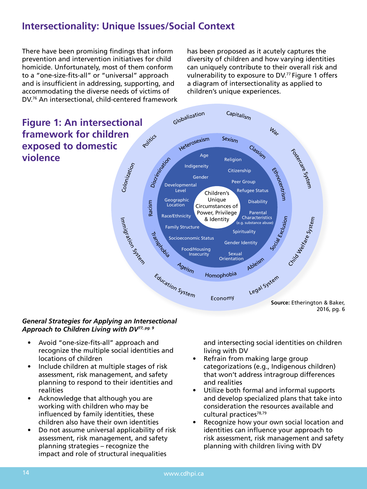# **Intersectionality: Unique Issues/Social Context**

There have been promising findings that inform prevention and intervention initiatives for child homicide. Unfortunately, most of them conform to a "one-size-fits-all" or "universal" approach **Figure 1.**  and is insufficient in addressing, supporting, and accommodating the diverse needs of victims of DV.76 An intersectional, child-centered framework

has been proposed as it acutely captures the diversity of children and how varying identities can uniquely contribute to their overall risk and vulnerability to exposure to DV.77 Figure 1 offers dressing, supporting, and a diagram of intersectionality as applied to children's unique experiences.



### *General Strategies for Applying an Intersectional*  Approach to Children Living with DV<sup>77, pg. 9</sup>

- Avoid "one-size-fits-all" approach and recognize the multiple social identities and locations of children • The second circle includes aspects of identity. The second circle includes aspects of identity. The second c
- Include children at multiple stages of risk assessment, risk management, and safety planning to respond to their identities and realities
- Acknowledge that although you are working with children who may be influenced by family identities, these children also have their own identities
- Do not assume universal applicability of risk assessment, risk management, and safety planning strategies – recognize the impact and role of structural inequalities

ts-all" approach and **the diagram that are unique to children** and intersecting social identities on children living with DV  $is$ -alitersecting social defined  $s$  and intersecting social identity.

- e social identities and<br>• Refrain from making large group ultiple stages of risk rategorizations (e.g., Indigenous children) igement, and safety **that won't address intragroup differences** and realities
	- Utilize both formal and informal supports and develop specialized plans that take into consideration the resources available and cultural practices<sup>78,79</sup>
	- Recognize how your own social location and identities can influence your approach to risk assessment, risk management and safety planning with children living with DV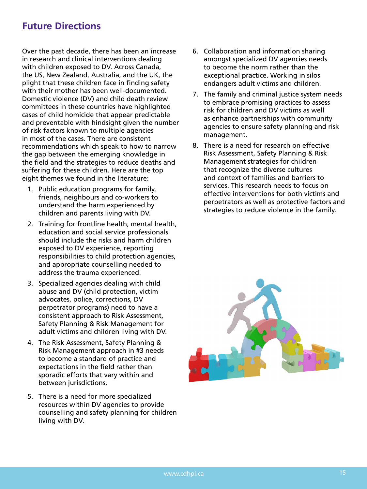# **Future Directions**

Over the past decade, there has been an increase in research and clinical interventions dealing with children exposed to DV. Across Canada, the US, New Zealand, Australia, and the UK, the plight that these children face in finding safety with their mother has been well-documented. Domestic violence (DV) and child death review committees in these countries have highlighted cases of child homicide that appear predictable and preventable with hindsight given the number of risk factors known to multiple agencies in most of the cases. There are consistent recommendations which speak to how to narrow the gap between the emerging knowledge in the field and the strategies to reduce deaths and suffering for these children. Here are the top eight themes we found in the literature:

- 1. Public education programs for family, friends, neighbours and co-workers to understand the harm experienced by children and parents living with DV.
- 2. Training for frontline health, mental health, education and social service professionals should include the risks and harm children exposed to DV experience, reporting responsibilities to child protection agencies, and appropriate counselling needed to address the trauma experienced.
- 3. Specialized agencies dealing with child abuse and DV (child protection, victim advocates, police, corrections, DV perpetrator programs) need to have a consistent approach to Risk Assessment, Safety Planning & Risk Management for adult victims and children living with DV.
- 4. The Risk Assessment, Safety Planning & Risk Management approach in #3 needs to become a standard of practice and expectations in the field rather than sporadic efforts that vary within and between jurisdictions.
- 5. There is a need for more specialized resources within DV agencies to provide counselling and safety planning for children living with DV.
- 6. Collaboration and information sharing amongst specialized DV agencies needs to become the norm rather than the exceptional practice. Working in silos endangers adult victims and children.
- 7. The family and criminal justice system needs to embrace promising practices to assess risk for children and DV victims as well as enhance partnerships with community agencies to ensure safety planning and risk management.
- 8. There is a need for research on effective Risk Assessment, Safety Planning & Risk Management strategies for children that recognize the diverse cultures and context of families and barriers to services. This research needs to focus on effective interventions for both victims and perpetrators as well as protective factors and strategies to reduce violence in the family.

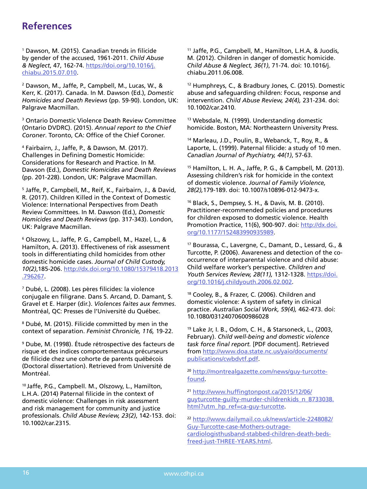# **References**

1 Dawson, M. (2015). Canadian trends in filicide by gender of the accused, 1961-2011. *Child Abuse & Neglect*, 47, 162-74. [https://doi.org/10.1016/j.](https://doi.org/10.1016/j.chiabu.2015.07.010) [chiabu.2015.07.010](https://doi.org/10.1016/j.chiabu.2015.07.010).

2 Dawson, M., Jaffe, P., Campbell, M., Lucas, W., & Kerr, K. (2017). Canada. In M. Dawson (Ed.), *Domestic Homicides and Death Reviews* (pp. 59-90). London, UK: Palgrave Macmillan.

3 Ontario Domestic Violence Death Review Committee (Ontario DVDRC). (2015). *Annual report to the Chief Coroner*. Toronto, CA: Office of the Chief Coroner.

4 Fairbairn, J., Jaffe, P., & Dawson, M. (2017). Challenges in Defining Domestic Homicide: Considerations for Research and Practice. In M. Dawson (Ed.), *Domestic Homicides and Death Reviews* (pp. 201-228). London, UK: Palgrave Macmillan.

5 Jaffe, P., Campbell, M., Reif, K., Fairbairn, J., & David, R. (2017). Children Killed in the Context of Domestic Violence: International Perspectives from Death Review Committees. In M. Dawson (Ed.), *Domestic Homicides and Death Reviews* (pp. 317-343). London, UK: Palgrave Macmillan.

6 Olszowy, L., Jaffe, P. G., Campbell, M., Hazel, L., & Hamilton, A. (2013). Effectiveness of risk assessment tools in differentiating child homicides from other domestic homicide cases. *Journal of Child Custody, 10(2)*,185-206. [http://dx.doi.org/10.1080/15379418.2013](http://dx.doi.org/10.1080/15379418.2013.796267) [.796267](http://dx.doi.org/10.1080/15379418.2013.796267).

7 Dubé, L. (2008). Les pères filicides: la violence conjugale en filigrane. Dans S. Arcand, D. Damant, S. Gravel et E. Harper (dir.). *Violences faites aux femmes*. Montréal, QC: Presses de l'Université du Québec.

8 Dubé, M. (2015). Filicide committed by men in the context of separation. *Feminist Chronicle, 116,* 19-22.

9 Dube, M. (1998). Étude rétrospective des facteurs de risque et des indices comportementaux précurseurs de filicide chez une cohorte de parents québécois (Doctoral dissertation). Retrieved from Université de Montréal.

10 Jaffe, P.G., Campbell. M., Olszowy, L., Hamilton, L.H.A. (2014) Paternal filicide in the context of domestic violence: Challenges in risk assessment and risk management for community and justice professionals. *Child Abuse Review, 23(2)*, 142-153. doi: 10.1002/car.2315.

11 Jaffe, P.G., Campbell, M., Hamilton, L.H.A, & Juodis, M. (2012). Children in danger of domestic homicide. *Child Abuse & Neglect, 36(1)*, 71-74. doi: 10.1016/j. chiabu.2011.06.008.

12 Humphreys, C., & Bradbury Jones, C. (2015). Domestic abuse and safeguarding children: Focus, response and intervention. *Child Abuse Review, 24(4),* 231-234. doi: 10.1002/car.2410.

13 Websdale, N. (1999). Understanding domestic homicide. Boston, MA: Northeastern University Press.

14 Marleau, J.D., Poulin, B., Webanck, T., Roy, R., & Laporte, L. (1999). Paternal filicide: a study of 10 men. *Canadian Journal of Psychiatry, 44(1)*, 57-63.

15 Hamilton, L. H. A., Jaffe, P. G., & Campbell, M. (2013). Assessing children's risk for homicide in the context of domestic violence. *Journal of Family Violence, 28(2),*179-189. doi: 10.1007/s10896-012-9473-x.

16 Black, S., Dempsey, S. H., & Davis, M. B. (2010). Practitioner-recommended policies and procedures for children exposed to domestic violence. Health Promotion Practice, 11(6), 900-907. doi: [http://dx.doi.](http://dx.doi.org/10.1177/152483990935989) [org/10.1177/152483990935989](http://dx.doi.org/10.1177/152483990935989).

17 Bourassa, C., Lavergne, C., Damant, D., Lessard, G., & Turcotte, P. (2006). Awareness and detection of the cooccurrence of interparental violence and child abuse: Child welfare worker's perspective. *Children and Youth Services Review, 28(11),* 1312-1328. [https://doi.](https://doi.org/10.1016/j.childyouth.2006.02.002) [org/10.1016/j.childyouth.2006.02.002](https://doi.org/10.1016/j.childyouth.2006.02.002).

18 Cooley, B., & Frazer, C. (2006). Children and domestic violence: A system of safety in clinical practice. *Australian Social Work, 59(4),* 462-473. doi: 10.1080/03124070600986028

19 Lake Jr, I. B., Odom, C. H., & Starsoneck, L., (2003, February). *Child well-being and domestic violence task force final report.* [PDF document]. Retrieved from [http://www.doa.state.nc.us/yaio/documents/](http://www.doa.state.nc.us/yaio/documents/publications/cwbdvtf.pdf) [publications/cwbdvtf.p](http://www.doa.state.nc.us/yaio/documents/publications/cwbdvtf.pdf)df.

<sup>20</sup> [http://montrealgazette.com/news/guy-turcotte](http://montrealgazette.com/news/guy-turcotte-found)[found](http://montrealgazette.com/news/guy-turcotte-found).

<sup>21</sup> [http://www.huffingtonpost.ca/2015/12/06/](http://www.huffingtonpost.ca/2015/12/06/guyturcotte-guilty-murder-childrenkids_n_8733038.html?utm_hp_ref=ca-guy-turcotte) [guyturcotte-guilty-murder-childrenkids\\_n\\_8733038.](http://www.huffingtonpost.ca/2015/12/06/guyturcotte-guilty-murder-childrenkids_n_8733038.html?utm_hp_ref=ca-guy-turcotte) [html?utm\\_hp\\_ref=ca-guy-turcotte.](http://www.huffingtonpost.ca/2015/12/06/guyturcotte-guilty-murder-childrenkids_n_8733038.html?utm_hp_ref=ca-guy-turcotte)

<sup>22</sup> [http://www.dailymail.co.uk/news/article-2248082/](http://www.dailymail.co.uk/news/article-2248082/Guy-Turcotte-case-Mothers-outrage-cardiologisthusband-stabbed-children-death-beds-freed-just-THREE-YEARS.html) [Guy-Turcotte-case-Mothers-outrage](http://www.dailymail.co.uk/news/article-2248082/Guy-Turcotte-case-Mothers-outrage-cardiologisthusband-stabbed-children-death-beds-freed-just-THREE-YEARS.html)[cardiologisthusband-stabbed-children-death-beds](http://www.dailymail.co.uk/news/article-2248082/Guy-Turcotte-case-Mothers-outrage-cardiologisthusband-stabbed-children-death-beds-freed-just-THREE-YEARS.html)[freed-just-THREE-YEARS.html.](http://www.dailymail.co.uk/news/article-2248082/Guy-Turcotte-case-Mothers-outrage-cardiologisthusband-stabbed-children-death-beds-freed-just-THREE-YEARS.html)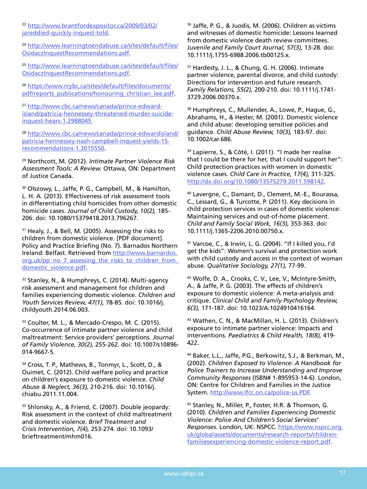<sup>23</sup> [http://www.brantfordexpositor.ca/2009/03/02/](http://www.brantfordexpositor.ca/2009/03/02/jareddied-quickly-inquest-told) [jareddied-quickly-inquest-told.](http://www.brantfordexpositor.ca/2009/03/02/jareddied-quickly-inquest-told)

<sup>24</sup> [http://www.learningtoendabuse.ca/sites/default/files/](http://www.learningtoendabuse.ca/sites/default/files/OsidaczInquestRecommendations.pdf) [OsidaczInquestRecommendations.pdf](http://www.learningtoendabuse.ca/sites/default/files/OsidaczInquestRecommendations.pdf).

<sup>25</sup> [http://www.learningtoendabuse.ca/sites/default/files/](http://www.learningtoendabuse.ca/sites/default/files/OsidaczInquestRecommendations.pdf) [OsidaczInquestRecommendations.pdf](http://www.learningtoendabuse.ca/sites/default/files/OsidaczInquestRecommendations.pdf).

<sup>26</sup> [https://www.rcybc.ca/sites/default/files/documents/](https://www.rcybc.ca/sites/default/files/documents/pdf/reports_publications/honouring_christian_lee.pdf) [pdf/reports\\_publications/honouring\\_christian\\_lee.pdf](https://www.rcybc.ca/sites/default/files/documents/pdf/reports_publications/honouring_christian_lee.pdf).

<sup>27</sup> [http://www.cbc.ca/news/canada/prince-edward](http://www.cbc.ca/news/canada/prince-edward-island/patricia-hennessey-threatened-murder-suicide-inquest-hears-1.2988045)[island/patricia-hennessey-threatened-murder-suicide](http://www.cbc.ca/news/canada/prince-edward-island/patricia-hennessey-threatened-murder-suicide-inquest-hears-1.2988045)[inquest-hears-1.2988045](http://www.cbc.ca/news/canada/prince-edward-island/patricia-hennessey-threatened-murder-suicide-inquest-hears-1.2988045) 

<sup>28</sup> [http://www.cbc.ca/news/canada/prince-edwardisland/](http://www.cbc.ca/news/canada/prince-edwardisland/patricia-hennessey-nash-campbell-inquest-yields-15-recommendations-1.3015550) [patricia-hennessey-nash-campbell-inquest-yields-15](http://www.cbc.ca/news/canada/prince-edwardisland/patricia-hennessey-nash-campbell-inquest-yields-15-recommendations-1.3015550) [recommendations-1.3015550](http://www.cbc.ca/news/canada/prince-edwardisland/patricia-hennessey-nash-campbell-inquest-yields-15-recommendations-1.3015550).

29 Northcott, M. (2012). *Intimate Partner Violence Risk Assessment Tools: A Review.* Ottawa, ON: Department of Justice Canada.

30 Olszowy, L., Jaffe, P. G., Campbell, M., & Hamilton, L. H. A. (2013). Effectiveness of risk assessment tools in differentiating child homicides from other domestic homicide cases. *Journal of Child Custody, 10(2),* 185- 206. doi: 10.1080/15379418.2013.796267.

<sup>31</sup> Healy, J., & Bell, M. (2005). Assessing the risks to children from domestic violence. [PDF document]. Policy and Practice Briefing (No. 7). Barnados Northern Ireland: Belfast. Retrieved from [http://www.barnardos.](http://www.barnardos.org.uk/pp_no_7_assessing_the_risks_to_children_from_domestic_violence.pdf) [org.uk/pp\\_no\\_7\\_assessing\\_the\\_risks\\_to\\_children\\_from\\_](http://www.barnardos.org.uk/pp_no_7_assessing_the_risks_to_children_from_domestic_violence.pdf) [domestic\\_violence.pdf.](http://www.barnardos.org.uk/pp_no_7_assessing_the_risks_to_children_from_domestic_violence.pdf)

<sup>32</sup> Stanley, N., & Humphreys, C. (2014). Multi-agency risk assessment and management for children and families experiencing domestic violence. *Children and Youth Services Review, 47(1),* 78-85. doi: 10.1016/j. childyouth.2014.06.003.

33 Coulter, M. L., & Mercado-Crespo, M. C. (2015). Co-occurrence of intimate partner violence and child maltreatment: Service providers' perceptions. *Journal of Family Violence, 30(2),* 255-262. doi: 10.1007/s10896- 014-9667-5.

34 Cross, T. P., Mathews, B., Tonmyr, L., Scott, D., & Ouimet, C. (2012). Child welfare policy and practice on children's exposure to domestic violence. *Child Abuse & Neglect, 36(3),* 210-216. doi: 10.1016/j. chiabu.2011.11.004.

35 Shlonsky, A., & Friend, C. (2007). Double jeopardy: Risk assessment in the context of child maltreatment and domestic violence. *Brief Treatment and Crisis Intervention, 7(4),* 253-274. doi: 10.1093/ brieftreatment/mhm016.

36 Jaffe, P. G., & Juodis, M. (2006). Children as victims and witnesses of domestic homicide: Lessons learned from domestic violence death review committees. J*uvenile and Family Court Journal, 57(3),* 13-28. doi: 10.1111/j.1755-6988.2006.tb00125.x.

<sup>37</sup> Hardesty, J. L., & Chung, G. H. (2006). Intimate partner violence, parental divorce, and child custody: Directions for intervention and future research. *Family Relations, 55(2),* 200-210. doi: 10.1111/j.1741- 3729.2006.00370.x.

38 Humphreys, C., Mullender, A., Lowe, P., Hague, G., Abrahams, H., & Hester, M. (2001). Domestic violence and child abuse: developing sensitive policies and guidance. *Child Abuse Review, 10(3),* 183-97. doi: 10.1002/car.686.

39 Lapierre, S., & Côté, I. (2011). "I made her realise that I could be there for her, that I could support her": Child protection practices with women in domestic violence cases. *Child Care in Practice, 17(4),* 311-325. <http://dx.doi.org/10.1080/13575279.2011.598142>.

40 Lavergne, C., Damant, D., Clement, M.-E., Bourassa, C., Lessard, G., & Turcotte, P. (2011). Key decisions in child protection services in cases of domestic violence: Maintaining services and out-of-home placement. *Child and Family Social Work, 16(3),* 353-363. doi: 10.1111/j.1365-2206.2010.00750.x.

41 Varcoe, C., & Irwin, L. G. (2004). "If I killed you, I'd get the kids": Women's survival and protection work with child custody and access in the context of woman abuse. *Qualitative Sociology, 27(1),* 77-99.

42 Wolfe, D. A., Crooks, C. V., Lee, V., McIntyre-Smith, A., & Jaffe, P. G. (2003). The effects of children's exposure to domestic violence: A meta-analysis and critique. *Clinical Child and Family Psychology Review, 6(3),* 171-187. doi: 10.1023/A:1024910416164.

43 Wathen, C. N., & MacMillan, H. L. (2013). Children's exposure to intimate partner violence: Impacts and interventions. *Paediatrics & Child Health, 18(8),* 419- 422.

44 Baker, L.L., Jaffe, P.G., Berkowitz, S.J., & Berkman, M., (2002). *Children Exposed to Violence: A Handbook for Police Trainers to Increase Understanding and Improve Community Responses* (ISBN# 1-895953-14-6). London, ON: Centre for Children and Families in the Justice System. [http://www.lfcc.on.ca/police-us.PDF.](http://www.lfcc.on.ca/police-us.PDF)

45 Stanley, N., Miller, P., Foster, H.R. & Thomson, G. (2010). *Children and Families Experiencing Domestic Violence: Police And Children's Social Services' Responses.* London, UK: NSPCC. [https://www.nspcc.org.](https://www.nspcc.org.uk/globalassets/documents/research-reports/children-familiesexperiencing-domestic-violence-report.pdf) [uk/globalassets/documents/research-reports/children](https://www.nspcc.org.uk/globalassets/documents/research-reports/children-familiesexperiencing-domestic-violence-report.pdf)[familiesexperiencing-domestic-violence-report.pdf](https://www.nspcc.org.uk/globalassets/documents/research-reports/children-familiesexperiencing-domestic-violence-report.pdf).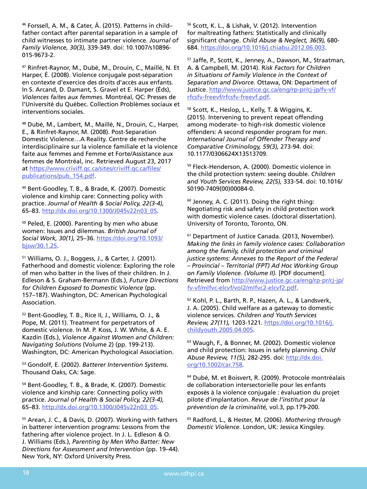46 Forssell, A. M., & Cater, Å. (2015). Patterns in child– father contact after parental separation in a sample of child witnesses to intimate partner violence. *Journal of Family Violence, 30(3),* 339-349. doi: 10.1007/s10896- 015-9673-2.

47 Rinfret-Raynor, M., Dubé, M., Drouin, C., Maillé, N. Et Harper, É. (2008). Violence conjugale post-séparation en contexte d'exercice des droits d'accès aux enfants. In S. Arcand, D. Damant, S. Gravel et E. Harper (Éds), *Violences faites aux femmes.* Montréal, QC: Presses de l'Université du Québec. Collection Problèmes sociaux et interventions sociales.

48 Dubé, M., Lambert, M., Maillé, N., Drouin, C., Harper, E., & Rinfret-Raynor, M. (2008). Post-Separation Domestic Violence…A Reality. Centre de recherche interdisciplinaire sur la violence familiale et la violence faite aux femmes and Femme et Forte/Assistance aux femmes de Montréal, inc. Retrieved August 23, 2017 at [https://www.criviff.qc.ca/sites/criviff.qc.ca/files/](https://www.criviff.qc.ca/sites/criviff.qc.ca/files/publications/pub_154.pdf) [publications/pub\\_154.pdf](https://www.criviff.qc.ca/sites/criviff.qc.ca/files/publications/pub_154.pdf).

49 Bent-Goodley, T. B., & Brade, K. (2007). Domestic violence and kinship care: Connecting policy with practice. *Journal of Health & Social Policy, 22(3-4),* 65–83. [http://dx.doi.org/10.1300/J045v22n03\\_05.](http://dx.doi.org/10.1300/J045v22n03_05)

50 Peled, E. (2000). Parenting by men who abuse women: Issues and dilemmas. *British Journal of Social Work, 30(1),* 25–36. [https://doi.org/10.1093/](https://doi.org/10.1093/bjsw/30.1.25) [bjsw/30.1.25](https://doi.org/10.1093/bjsw/30.1.25).

51 Williams, O. J., Boggess, J., & Carter, J. (2001). Fatherhood and domestic violence: Exploring the role of men who batter in the lives of their children. In J. Edleson & S. Graham-Bermann (Eds.), *Future Directions for Children Exposed to Domestic Violence* (pp. 157–187). Washington, DC: American Psychological Association.

52 Bent-Goodley, T. B., Rice II, J., Williams, O. J., & Pope, M. (2011). Treatment for perpetrators of domestic violence. In M. P. Koss, J. W. White, & A. E. Kazdin (Eds.), *Violence Against Women and Children: Navigating Solutions* (Volume 2) (pp. 199-213). Washington, DC: American Psychological Association.

53 Gondolf, E. (2002). *Batterer Intervention Systems.* Thousand Oaks, CA: Sage.

54 Bent-Goodley, T. B., & Brade, K. (2007). Domestic violence and kinship care: Connecting policy with practice. *Journal of Health & Social Policy, 22(3-4),*  65–83. [http://dx.doi.org/10.1300/J045v22n03\\_05.](http://dx.doi.org/10.1300/J045v22n03_05)

55 Arean, J. C., & Davis, D. (2007). Working with fathers in batterer intervention programs: Lessons from the fathering after violence project. In J. L. Edleson & O. J. Williams (Eds.), *Parenting by Men Who Batter: New Directions for Assessment and Intervention* (pp. 19–44). New York, NY: Oxford University Press.

56 Scott, K. L., & Lishak, V. (2012). Intervention for maltreating fathers: Statistically and clinically significant change. *Child Abuse & Neglect, 36(9),* 680- 684.<https://doi.org/10.1016/j.chiabu.2012.06.003>.

57 Jaffe, P., Scott, K., Jenney, A., Dawson, M., Straatman, A. & Campbell, M. (2014). R*isk Factors for Children in Situations of Family Violence in the Context of Separation and Divorce.* Ottawa, ON: Department of Justice. [http://www.justice.gc.ca/eng/rp-pr/cj-jp/fv-vf/](http://www.justice.gc.ca/eng/rp-pr/cj-jp/fv-vf/rfcsfv-freevf/rfcsfv-freevf.pdf) [rfcsfv-freevf/rfcsfv-freevf.pdf.](http://www.justice.gc.ca/eng/rp-pr/cj-jp/fv-vf/rfcsfv-freevf/rfcsfv-freevf.pdf)

58 Scott, K., Heslop, L., Kelly, T. & Wiggins, K. (2015). Intervening to prevent repeat offending among moderate- to high-risk domestic violence offenders: A second responder program for men. *International Journal of Offender Therapy and Comparative Criminology, 59(3),* 273-94. doi: 10.1177/0306624X13513709.

59 Fleck-Henderson, A. (2000). Domestic violence in the child protection system: seeing double. *Children and Youth Services Review, 22(5),* 333-54. doi: 10.1016/ S0190-7409(00)00084-0.

 $60$  Jenney, A. C. (2011). Doing the right thing: Negotiating risk and safety in child protection work with domestic violence cases. (doctoral dissertation). University of Toronto, Toronto, ON.

<sup>61</sup> Department of Justice Canada. (2013, November). *Making the links in family violence cases: Collaboration among the family, child protection and criminal justice systems: Annexes to the Report of the Federal – Provincial – Territorial (FPT) Ad Hoc Working Group on Family Violence. (Volume II).* [PDF document]. Retrieved from [http://www.justice.gc.ca/eng/rp-pr/cj-jp/](http://www.justice.gc.ca/eng/rp-pr/cj-jp/fv-vf/mlfvc-elcvf/vol2/mlfvc2-elcvf2.pdf) [fv-vf/mlfvc-elcvf/vol2/mlfvc2-elcvf2.pdf.](http://www.justice.gc.ca/eng/rp-pr/cj-jp/fv-vf/mlfvc-elcvf/vol2/mlfvc2-elcvf2.pdf)

62 Kohl, P. L., Barth, R. P., Hazen, A. L., & Landsverk, J. A. (2005). Child welfare as a gateway to domestic violence services. *Children and Youth Services Review, 27(11),* 1203-1221. [https://doi.org/10.1016/j.](https://doi.org/10.1016/j.childyouth.2005.04.005) [childyouth.2005.04.005.](https://doi.org/10.1016/j.childyouth.2005.04.005)

63 Waugh, F., & Bonner, M. (2002). Domestic violence and child protection: Issues in safety planning. *Child Abuse Review, 11(5),* 282-295. doi: [http://dx.doi.](http://dx.doi.org/10.1002/car.758) [org/10.1002/car.758](http://dx.doi.org/10.1002/car.758).

64 Dubé, M. et Boisvert, R. (2009). Protocole montréalais de collaboration intersectorielle pour les enfants exposés à la violence conjugale : évaluation du projet pilote d'implantation. *Revue de l'institut pour la prévention de la criminalité,* vol.3, pp.179-200.

65 Radford, L., & Hester, M. (2006). *Mothering through Domestic Violence.* London, UK: Jessica Kingsley.